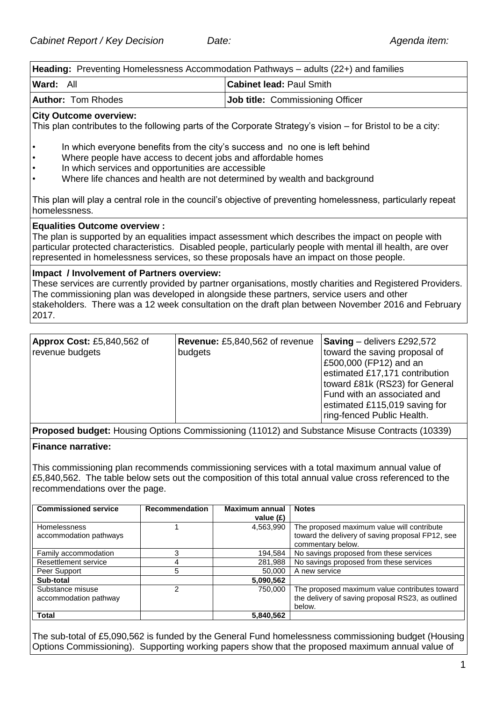**Heading:** Preventing Homelessness Accommodation Pathways – adults (22+) and families **Ward:** All **Cabinet lead:** Paul Smith **Author:** Tom Rhodes **Job title:** Commissioning Officer **City Outcome overview:**  This plan contributes to the following parts of the Corporate Strategy's vision – for Bristol to be a city: • In which everyone benefits from the city's success and no one is left behind Where people have access to decent jobs and affordable homes In which services and opportunities are accessible • Where life chances and health are not determined by wealth and background This plan will play a central role in the council's objective of preventing homelessness, particularly repeat homelessness. **Equalities Outcome overview :**  The plan is supported by an equalities impact assessment which describes the impact on people with particular protected characteristics. Disabled people, particularly people with mental ill health, are over represented in homelessness services, so these proposals have an impact on those people. **Impact / Involvement of Partners overview:**  These services are currently provided by partner organisations, mostly charities and Registered Providers.

The commissioning plan was developed in alongside these partners, service users and other stakeholders. There was a 12 week consultation on the draft plan between November 2016 and February 2017.

| <b>Approx Cost: £5,840,562 of</b><br>revenue budgets | <b>Revenue:</b> £5,840,562 of revenue<br>budgets | <b>Saving</b> – delivers £292,572<br>toward the saving proposal of<br>£500,000 (FP12) and an<br>estimated £17,171 contribution<br>toward £81k (RS23) for General<br>Fund with an associated and<br>estimated £115,019 saving for<br>ring-fenced Public Health. |
|------------------------------------------------------|--------------------------------------------------|----------------------------------------------------------------------------------------------------------------------------------------------------------------------------------------------------------------------------------------------------------------|
|------------------------------------------------------|--------------------------------------------------|----------------------------------------------------------------------------------------------------------------------------------------------------------------------------------------------------------------------------------------------------------------|

**Proposed budget:** Housing Options Commissioning (11012) and Substance Misuse Contracts (10339)

### **Finance narrative:**

This commissioning plan recommends commissioning services with a total maximum annual value of £5,840,562. The table below sets out the composition of this total annual value cross referenced to the recommendations over the page.

| <b>Commissioned service</b>                   | <b>Recommendation</b> | Maximum annual<br>value $(E)$ | <b>Notes</b>                                                                                                        |
|-----------------------------------------------|-----------------------|-------------------------------|---------------------------------------------------------------------------------------------------------------------|
| <b>Homelessness</b><br>accommodation pathways |                       | 4,563,990                     | The proposed maximum value will contribute<br>toward the delivery of saving proposal FP12, see<br>commentary below. |
| Family accommodation                          |                       | 194,584                       | No savings proposed from these services                                                                             |
| Resettlement service                          |                       | 281,988                       | No savings proposed from these services                                                                             |
| Peer Support                                  | 5                     | 50,000                        | A new service                                                                                                       |
| Sub-total                                     |                       | 5,090,562                     |                                                                                                                     |
| Substance misuse<br>accommodation pathway     |                       | 750.000                       | The proposed maximum value contributes toward<br>the delivery of saving proposal RS23, as outlined<br>below.        |
| <b>Total</b>                                  |                       | 5,840,562                     |                                                                                                                     |

The sub-total of £5,090,562 is funded by the General Fund homelessness commissioning budget (Housing Options Commissioning). Supporting working papers show that the proposed maximum annual value of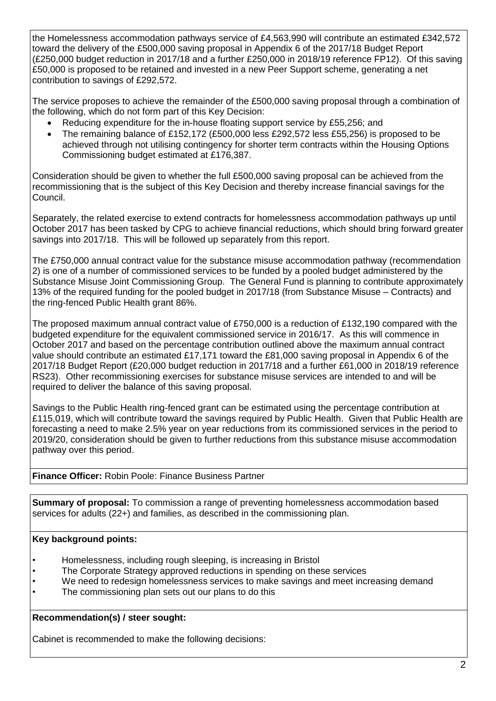the Homelessness accommodation pathways service of £4,563,990 will contribute an estimated £342,572 toward the delivery of the £500,000 saving proposal in Appendix 6 of the 2017/18 Budget Report (£250,000 budget reduction in 2017/18 and a further £250,000 in 2018/19 reference FP12). Of this saving £50,000 is proposed to be retained and invested in a new Peer Support scheme, generating a net contribution to savings of £292,572.

The service proposes to achieve the remainder of the £500,000 saving proposal through a combination of the following, which do not form part of this Key Decision:

- Reducing expenditure for the in-house floating support service by £55,256; and
- The remaining balance of £152,172 (£500,000 less £292,572 less £55,256) is proposed to be achieved through not utilising contingency for shorter term contracts within the Housing Options Commissioning budget estimated at £176,387.

Consideration should be given to whether the full £500,000 saving proposal can be achieved from the recommissioning that is the subject of this Key Decision and thereby increase financial savings for the Council.

Separately, the related exercise to extend contracts for homelessness accommodation pathways up until October 2017 has been tasked by CPG to achieve financial reductions, which should bring forward greater savings into 2017/18. This will be followed up separately from this report.

The £750,000 annual contract value for the substance misuse accommodation pathway (recommendation 2) is one of a number of commissioned services to be funded by a pooled budget administered by the Substance Misuse Joint Commissioning Group. The General Fund is planning to contribute approximately 13% of the required funding for the pooled budget in 2017/18 (from Substance Misuse – Contracts) and the ring-fenced Public Health grant 86%.

The proposed maximum annual contract value of £750,000 is a reduction of £132,190 compared with the budgeted expenditure for the equivalent commissioned service in 2016/17. As this will commence in October 2017 and based on the percentage contribution outlined above the maximum annual contract value should contribute an estimated £17,171 toward the £81,000 saving proposal in Appendix 6 of the 2017/18 Budget Report (£20,000 budget reduction in 2017/18 and a further £61,000 in 2018/19 reference RS23). Other recommissioning exercises for substance misuse services are intended to and will be required to deliver the balance of this saving proposal.

Savings to the Public Health ring-fenced grant can be estimated using the percentage contribution at £115,019, which will contribute toward the savings required by Public Health. Given that Public Health are forecasting a need to make 2.5% year on year reductions from its commissioned services in the period to 2019/20, consideration should be given to further reductions from this substance misuse accommodation pathway over this period.

# **Finance Officer:** Robin Poole: Finance Business Partner

**Summary of proposal:** To commission a range of preventing homelessness accommodation based services for adults (22+) and families, as described in the commissioning plan.

# **Key background points:**

- Homelessness, including rough sleeping, is increasing in Bristol
- The Corporate Strategy approved reductions in spending on these services
- We need to redesign homelessness services to make savings and meet increasing demand
- The commissioning plan sets out our plans to do this

**Recommendation(s) / steer sought:**

Cabinet is recommended to make the following decisions: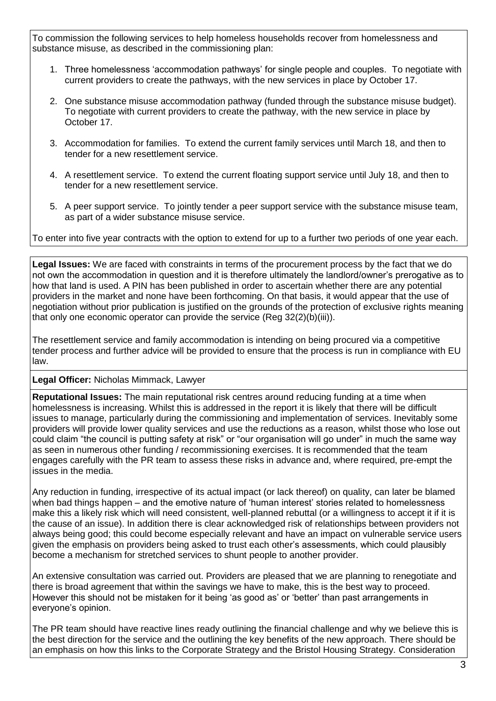To commission the following services to help homeless households recover from homelessness and substance misuse, as described in the commissioning plan:

- 1. Three homelessness 'accommodation pathways' for single people and couples. To negotiate with current providers to create the pathways, with the new services in place by October 17.
- 2. One substance misuse accommodation pathway (funded through the substance misuse budget). To negotiate with current providers to create the pathway, with the new service in place by October 17.
- 3. Accommodation for families. To extend the current family services until March 18, and then to tender for a new resettlement service.
- 4. A resettlement service. To extend the current floating support service until July 18, and then to tender for a new resettlement service.
- 5. A peer support service. To jointly tender a peer support service with the substance misuse team, as part of a wider substance misuse service.

To enter into five year contracts with the option to extend for up to a further two periods of one year each.

**Legal Issues:** We are faced with constraints in terms of the procurement process by the fact that we do not own the accommodation in question and it is therefore ultimately the landlord/owner's prerogative as to how that land is used. A PIN has been published in order to ascertain whether there are any potential providers in the market and none have been forthcoming. On that basis, it would appear that the use of negotiation without prior publication is justified on the grounds of the protection of exclusive rights meaning that only one economic operator can provide the service (Reg 32(2)(b)(iii)).

The resettlement service and family accommodation is intending on being procured via a competitive tender process and further advice will be provided to ensure that the process is run in compliance with EU law.

### **Legal Officer:** Nicholas Mimmack, Lawyer

**Reputational Issues:** The main reputational risk centres around reducing funding at a time when homelessness is increasing. Whilst this is addressed in the report it is likely that there will be difficult issues to manage, particularly during the commissioning and implementation of services. Inevitably some providers will provide lower quality services and use the reductions as a reason, whilst those who lose out could claim "the council is putting safety at risk" or "our organisation will go under" in much the same way as seen in numerous other funding / recommissioning exercises. It is recommended that the team engages carefully with the PR team to assess these risks in advance and, where required, pre-empt the issues in the media.

Any reduction in funding, irrespective of its actual impact (or lack thereof) on quality, can later be blamed when bad things happen – and the emotive nature of 'human interest' stories related to homelessness make this a likely risk which will need consistent, well-planned rebuttal (or a willingness to accept it if it is the cause of an issue). In addition there is clear acknowledged risk of relationships between providers not always being good; this could become especially relevant and have an impact on vulnerable service users given the emphasis on providers being asked to trust each other's assessments, which could plausibly become a mechanism for stretched services to shunt people to another provider.

An extensive consultation was carried out. Providers are pleased that we are planning to renegotiate and there is broad agreement that within the savings we have to make, this is the best way to proceed. However this should not be mistaken for it being 'as good as' or 'better' than past arrangements in everyone's opinion.

The PR team should have reactive lines ready outlining the financial challenge and why we believe this is the best direction for the service and the outlining the key benefits of the new approach. There should be an emphasis on how this links to the Corporate Strategy and the Bristol Housing Strategy. Consideration